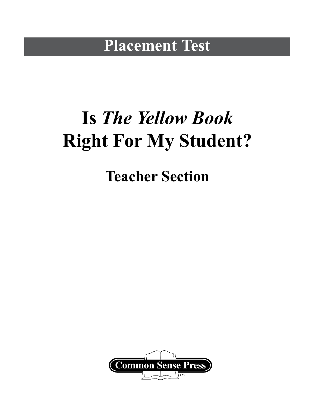### **Placement Test**

# **Is** *The Yellow Book* **Right For My Student?**

### **Teacher Section**

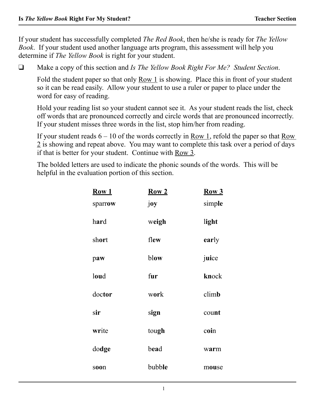If your student has successfully completed *The Red Book*, then he/she is ready for *The Yellow Book*. If your student used another language arts program, this assessment will help you determine if *The Yellow Book* is right for your student.

**Q** Make a copy of this section and *Is The Yellow Book Right For Me? Student Section.* 

Fold the student paper so that only Row 1 is showing. Place this in front of your student so it can be read easily. Allow your student to use a ruler or paper to place under the word for easy of reading.

 Hold your reading list so your student cannot see it. As your student reads the list, check off words that are pronounced correctly and circle words that are pronounced incorrectly. If your student misses three words in the list, stop him/her from reading.

 If your student reads 6 – 10 of the words correctly in Row 1, refold the paper so that Row 2 is showing and repeat above. You may want to complete this task over a period of days if that is better for your student. Continue with Row 3.

 The bolded letters are used to indicate the phonic sounds of the words. This will be helpful in the evaluation portion of this section.

| Row 1<br>sparrow | Row <sub>2</sub><br>joy | Row 3<br>simple |
|------------------|-------------------------|-----------------|
| hard             | weigh                   | light           |
| short            | flew                    | early           |
| paw              | blow                    | juice           |
| loud             | fur                     | knock           |
| doctor           | work                    | climb           |
| sir              | sign                    | count           |
| write            | tough                   | coin            |
| dodge            | bead                    | warm            |
| soon             | bubble                  | mouse           |
|                  |                         |                 |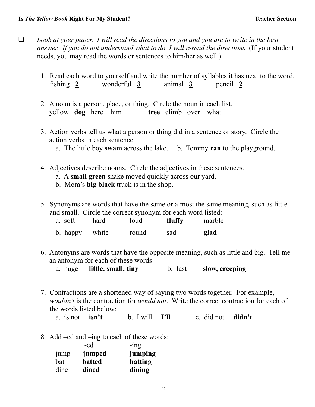- □ Look at your paper. I will read the directions to you and you are to write in the best *answer. If you do not understand what to do, I will reread the directions.* (If your student needs, you may read the words or sentences to him/her as well.)
	- 1. Read each word to yourself and write the number of syllables it has next to the word. fishing  $\overline{2}$  wonderful  $\overline{3}$  animal  $\overline{3}$  pencil  $\overline{2}$
	- 2. A noun is a person, place, or thing. Circle the noun in each list. yellow **dog** here him **tree** climb over what
	- 3. Action verbs tell us what a person or thing did in a sentence or story. Circle the action verbs in each sentence.
		- a. The little boy **swam** across the lake. b. Tommy **ran** to the playground.
	- 4. Adjectives describe nouns. Circle the adjectives in these sentences.
		- a. A **small green** snake moved quickly across our yard.
		- b. Mom's **big black** truck is in the shop.
	- 5. Synonyms are words that have the same or almost the same meaning, such as little and small. Circle the correct synonym for each word listed:

| a. soft        | hard | loud  | fluffy | marble |
|----------------|------|-------|--------|--------|
| b. happy white |      | round | sad    | glad   |

- 6. Antonyms are words that have the opposite meaning, such as little and big. Tell me an antonym for each of these words:
	- a. huge **little, small, tiny** b. fast **slow, creeping**
- 7. Contractions are a shortened way of saying two words together. For example, *wouldn't* is the contraction for *would not*. Write the correct contraction for each of the words listed below:

a. is not **isn't** b. I will **I'll** c. did not **didn't**

8. Add –ed and –ing to each of these words:

|                  | -ed           | $-1ng$  |
|------------------|---------------|---------|
| <sub>1</sub> ump | jumped        | jumping |
| bat              | <b>batted</b> | batting |
| dine             | dined         | dining  |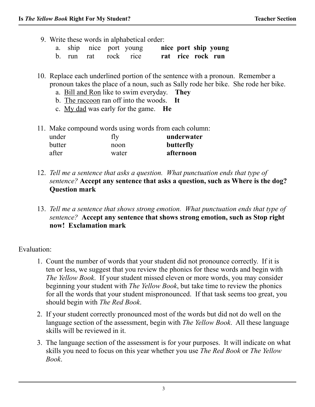- 9. Write these words in alphabetical order:
	- a. ship nice port young **nice port ship young**
	- b. run rat rock rice **rat rice rock run**

10. Replace each underlined portion of the sentence with a pronoun. Remember a pronoun takes the place of a noun, such as Sally rode her bike. She rode her bike.

- a. Bill and Ron like to swim everyday. **They**
- b. The raccoon ran off into the woods. **It**
- c. My dad was early for the game. **He**
- 11. Make compound words using words from each column:

| under  | fly   | underwater |
|--------|-------|------------|
| butter | noon  | butterfly  |
| after  | water | afternoon  |

- 12. *Tell me a sentence that asks a question. What punctuation ends that type of sentence?* **Accept any sentence that asks a question, such as Where is the dog? Question mark**
- 13. *Tell me a sentence that shows strong emotion. What punctuation ends that type of sentence?* **Accept any sentence that shows strong emotion, such as Stop right now! Exclamation mark**

Evaluation:

- 1. Count the number of words that your student did not pronounce correctly. If it is ten or less, we suggest that you review the phonics for these words and begin with *The Yellow Book*. If your student missed eleven or more words, you may consider beginning your student with *The Yellow Book*, but take time to review the phonics for all the words that your student mispronounced. If that task seems too great, you should begin with *The Red Book*.
- 2. If your student correctly pronounced most of the words but did not do well on the language section of the assessment, begin with *The Yellow Book*. All these language skills will be reviewed in it.
- 3. The language section of the assessment is for your purposes. It will indicate on what skills you need to focus on this year whether you use *The Red Book* or *The Yellow Book*.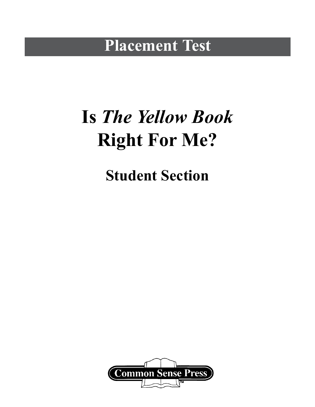#### **Placement Test**

# **Is** *The Yellow Book* **Right For Me?**

**Student Section**

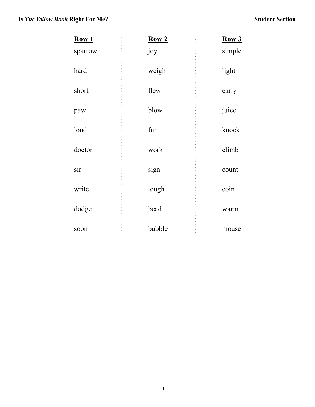| Row 1   | Row <sub>2</sub> | Row 3  |
|---------|------------------|--------|
| sparrow | joy              | simple |
| hard    | weigh            | light  |
| short   | flew             | early  |
| paw     | blow             | juice  |
| loud    | fur              | knock  |
| doctor  | work             | climb  |
| sir     | sign             | count  |
| write   | tough            | coin   |
| dodge   | bead             | warm   |
| soon    | bubble           | mouse  |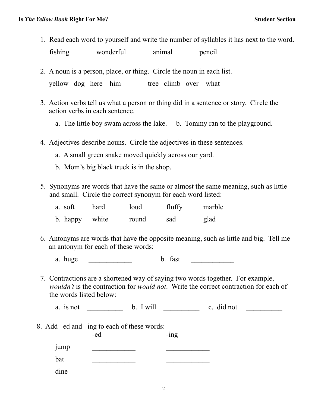1. Read each word to yourself and write the number of syllables it has next to the word.

fishing wonderful animal pencil

- 2. A noun is a person, place, or thing. Circle the noun in each list. yellow dog here him tree climb over what
- 3. Action verbs tell us what a person or thing did in a sentence or story. Circle the action verbs in each sentence.
	- a. The little boy swam across the lake. b. Tommy ran to the playground.
- 4. Adjectives describe nouns. Circle the adjectives in these sentences.
	- a. A small green snake moved quickly across our yard.
	- b. Mom's big black truck is in the shop.
- 5. Synonyms are words that have the same or almost the same meaning, such as little and small. Circle the correct synonym for each word listed:

| a. soft  | hard  | loud  | fluffy | marble |
|----------|-------|-------|--------|--------|
| b. happy | white | round | sad    | glad   |

 6. Antonyms are words that have the opposite meaning, such as little and big. Tell me an antonym for each of these words:

a. huge  $\qquad \qquad$  b. fast  $\qquad \qquad$ 

 7. Contractions are a shortened way of saying two words together. For example, *wouldn't* is the contraction for *would not*. Write the correct contraction for each of the words listed below:

a. is not \_\_\_\_\_\_\_\_\_\_ b. I will \_\_\_\_\_\_\_\_\_ c. did not \_\_\_\_\_\_\_\_\_

8. Add –ed and –ing to each of these words:

|                                          | -ed | $-$ ing |
|------------------------------------------|-----|---------|
| $\bullet$ . The set of $\bullet$<br>jump |     |         |
| bat                                      |     |         |
| dine                                     |     |         |